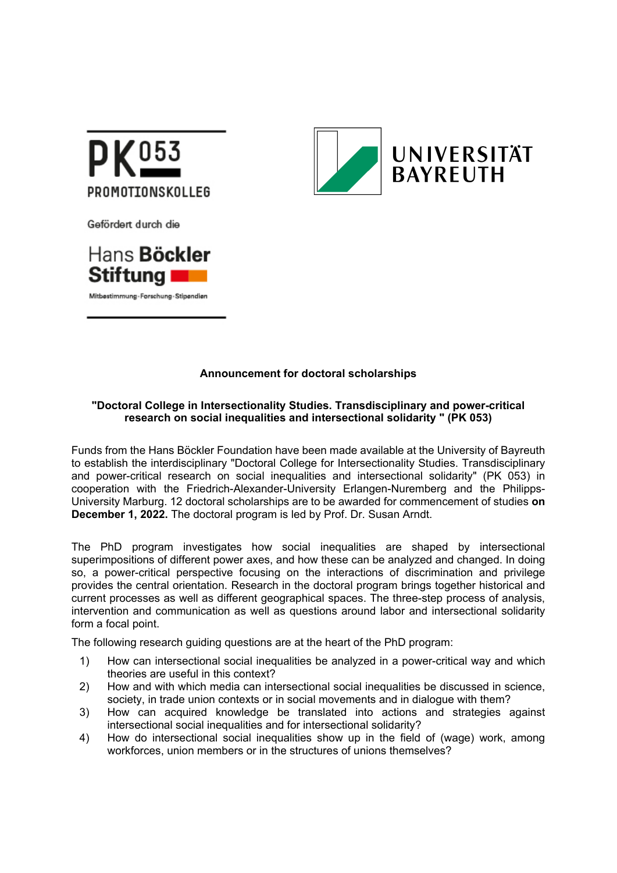

Gefördert durch die





## **Announcement for doctoral scholarships**

## **"Doctoral College in Intersectionality Studies. Transdisciplinary and power-critical research on social inequalities and intersectional solidarity " (PK 053)**

Funds from the Hans Böckler Foundation have been made available at the University of Bayreuth to establish the interdisciplinary "Doctoral College for Intersectionality Studies. Transdisciplinary and power-critical research on social inequalities and intersectional solidarity" (PK 053) in cooperation with the Friedrich-Alexander-University Erlangen-Nuremberg and the Philipps-University Marburg. 12 doctoral scholarships are to be awarded for commencement of studies **on December 1, 2022.** The doctoral program is led by Prof. Dr. Susan Arndt.

The PhD program investigates how social inequalities are shaped by intersectional superimpositions of different power axes, and how these can be analyzed and changed. In doing so, a power-critical perspective focusing on the interactions of discrimination and privilege provides the central orientation. Research in the doctoral program brings together historical and current processes as well as different geographical spaces. The three-step process of analysis, intervention and communication as well as questions around labor and intersectional solidarity form a focal point.

The following research guiding questions are at the heart of the PhD program:

- 1) How can intersectional social inequalities be analyzed in a power-critical way and which theories are useful in this context?
- 2) How and with which media can intersectional social inequalities be discussed in science, society, in trade union contexts or in social movements and in dialogue with them?
- 3) How can acquired knowledge be translated into actions and strategies against intersectional social inequalities and for intersectional solidarity?
- 4) How do intersectional social inequalities show up in the field of (wage) work, among workforces, union members or in the structures of unions themselves?